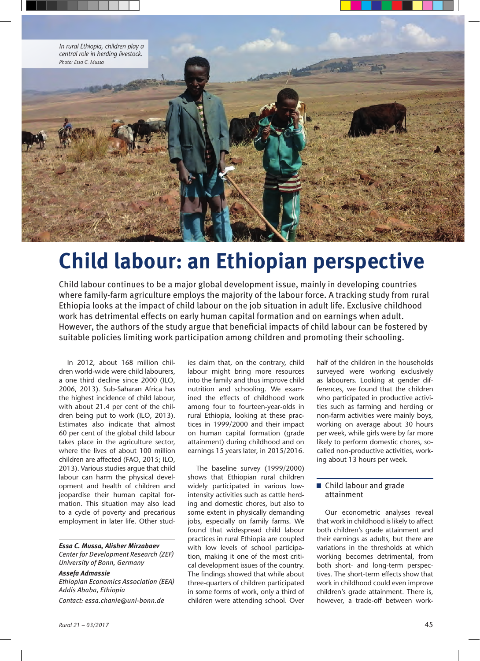

## **Child labour: an Ethiopian perspective**

Child labour continues to be a major global development issue, mainly in developing countries where family-farm agriculture employs the majority of the labour force. A tracking study from rural Ethiopia looks at the impact of child labour on the job situation in adult life. Exclusive childhood work has detrimental effects on early human capital formation and on earnings when adult. However, the authors of the study argue that beneficial impacts of child labour can be fostered by suitable policies limiting work participation among children and promoting their schooling.

In 2012, about 168 million children world-wide were child labourers, a one third decline since 2000 (ILO, 2006, 2013). Sub-Saharan Africa has the highest incidence of child labour, with about 21.4 per cent of the children being put to work (ILO, 2013). Estimates also indicate that almost 60 per cent of the global child labour takes place in the agriculture sector, where the lives of about 100 million children are affected (FAO, 2015; ILO, 2013). Various studies argue that child labour can harm the physical development and health of children and jeopardise their human capital formation. This situation may also lead to a cycle of poverty and precarious employment in later life. Other stud-

*Essa C. Mussa, Alisher Mirzabaev Center for Development Research (ZEF) University of Bonn, Germany*

*Assefa Admassie Ethiopian Economics Association (EEA) Addis Ababa, Ethiopia Contact: essa.chanie@uni-bonn.de*

ies claim that, on the contrary, child labour might bring more resources into the family and thus improve child nutrition and schooling. We examined the effects of childhood work among four to fourteen-year-olds in rural Ethiopia, looking at these practices in 1999/2000 and their impact on human capital formation (grade attainment) during childhood and on earnings 15 years later, in 2015/2016.

The baseline survey (1999/2000) shows that Ethiopian rural children widely participated in various lowintensity activities such as cattle herding and domestic chores, but also to some extent in physically demanding jobs, especially on family farms. We found that widespread child labour practices in rural Ethiopia are coupled with low levels of school participation, making it one of the most critical development issues of the country. The findings showed that while about three-quarters of children participated in some forms of work, only a third of children were attending school. Over

half of the children in the households surveyed were working exclusively as labourers. Looking at gender differences, we found that the children who participated in productive activities such as farming and herding or non-farm activities were mainly boys, working on average about 30 hours per week, while girls were by far more likely to perform domestic chores, socalled non-productive activities, working about 13 hours per week.

## ■ Child labour and grade attainment

Our econometric analyses reveal that work in childhood is likely to affect both children's grade attainment and their earnings as adults, but there are variations in the thresholds at which working becomes detrimental, from both short- and long-term perspectives. The short-term effects show that work in childhood could even improve children's grade attainment. There is, however, a trade-off between work-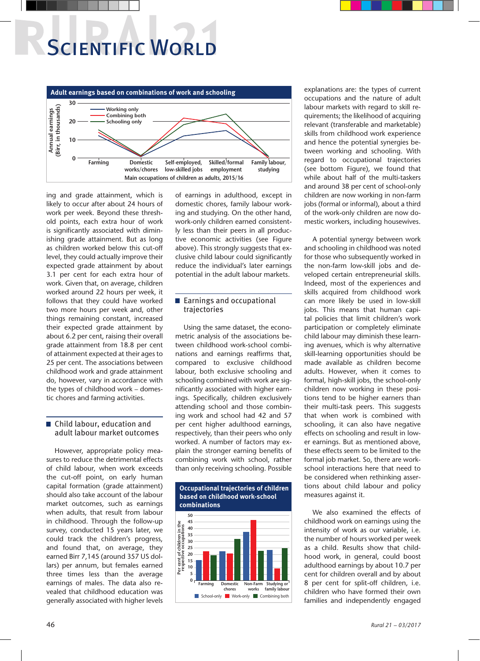# **SCIENTIFIC WORLD**



ing and grade attainment, which is likely to occur after about 24 hours of work per week. Beyond these threshold points, each extra hour of work is significantly associated with diminishing grade attainment. But as long as children worked below this cut-off level, they could actually improve their expected grade attainment by about 3.1 per cent for each extra hour of work. Given that, on average, children worked around 22 hours per week, it follows that they could have worked two more hours per week and, other things remaining constant, increased their expected grade attainment by about 6.2 per cent, raising their overall grade attainment from 18.8 per cent of attainment expected at their ages to 25 per cent. The associations between childhood work and grade attainment do, however, vary in accordance with the types of childhood work – domestic chores and farming activities.

## ■ Child labour, education and adult labour market outcomes

However, appropriate policy measures to reduce the detrimental effects of child labour, when work exceeds the cut-off point, on early human capital formation (grade attainment) should also take account of the labour market outcomes, such as earnings when adults, that result from labour in childhood. Through the follow-up survey, conducted 15 years later, we could track the children's progress, and found that, on average, they earned Birr 7,145 (around 357 US dollars) per annum, but females earned three times less than the average earnings of males. The data also revealed that childhood education was generally associated with higher levels of earnings in adulthood, except in domestic chores, family labour working and studying. On the other hand, work-only children earned consistently less than their peers in all productive economic activities (see Figure above). This strongly suggests that exclusive child labour could significantly reduce the individual's later earnings potential in the adult labour markets.

## Earnings and occupational trajectories

Using the same dataset, the econometric analysis of the associations between childhood work-school combinations and earnings reaffirms that, compared to exclusive childhood labour, both exclusive schooling and schooling combined with work are significantly associated with higher earnings. Specifically, children exclusively attending school and those combining work and school had 42 and 57 per cent higher adulthood earnings, respectively, than their peers who only worked. A number of factors may explain the stronger earning benefits of combining work with school, rather than only receiving schooling. Possible



explanations are: the types of current occupations and the nature of adult labour markets with regard to skill requirements; the likelihood of acquiring relevant (transferable and marketable) skills from childhood work experience and hence the potential synergies between working and schooling. With regard to occupational trajectories (see bottom Figure), we found that while about half of the multi-taskers and around 38 per cent of school-only children are now working in non-farm jobs (formal or informal), about a third of the work-only children are now domestic workers, including housewives.

A potential synergy between work and schooling in childhood was noted for those who subsequently worked in the non-farm low-skill jobs and developed certain entrepreneurial skills. Indeed, most of the experiences and skills acquired from childhood work can more likely be used in low-skill jobs. This means that human capital policies that limit children's work participation or completely eliminate child labour may diminish these learning avenues, which is why alternative skill-learning opportunities should be made available as children become adults. However, when it comes to formal, high-skill jobs, the school-only children now working in these positions tend to be higher earners than their multi-task peers. This suggests that when work is combined with schooling, it can also have negative effects on schooling and result in lower earnings. But as mentioned above, these effects seem to be limited to the formal job market. So, there are workschool interactions here that need to be considered when rethinking assertions about child labour and policy measures against it.

We also examined the effects of childhood work on earnings using the intensity of work as our variable, i.e. the number of hours worked per week as a child. Results show that childhood work, in general, could boost adulthood earnings by about 10.7 per cent for children overall and by about 8 per cent for split-off children, i.e. children who have formed their own families and independently engaged